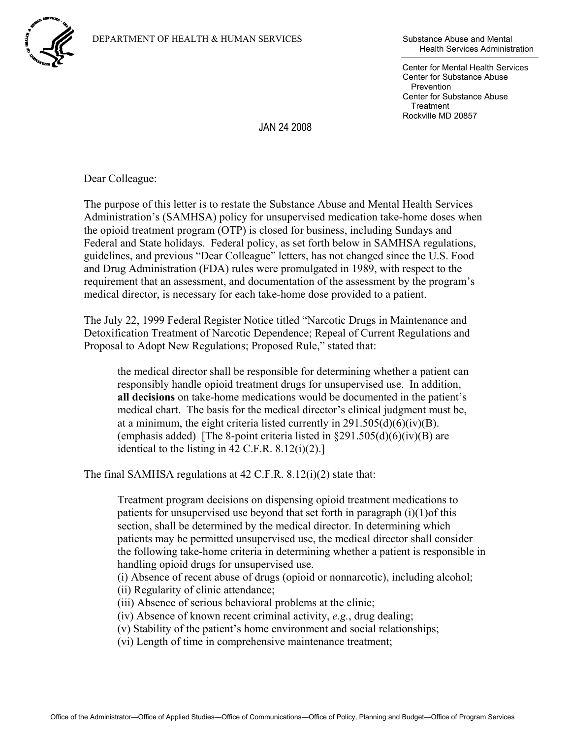

Health Services Administration

Center for Mental Health Services Center for Substance Abuse **Prevention** Center for Substance Abuse **Treatment** Rockville MD 20857

JAN 24 2008

Dear Colleague:

The purpose of this letter is to restate the Substance Abuse and Mental Health Services Administration's (SAMHSA) policy for unsupervised medication take-home doses when the opioid treatment program (OTP) is closed for business, including Sundays and Federal and State holidays. Federal policy, as set forth below in SAMHSA regulations, guidelines, and previous "Dear Colleague" letters, has not changed since the U.S. Food and Drug Administration (FDA) rules were promulgated in 1989, with respect to the requirement that an assessment, and documentation of the assessment by the program's medical director, is necessary for each take-home dose provided to a patient.

The July 22, 1999 Federal Register Notice titled "Narcotic Drugs in Maintenance and Detoxification Treatment of Narcotic Dependence; Repeal of Current Regulations and Proposal to Adopt New Regulations; Proposed Rule," stated that:

the medical director shall be responsible for determining whether a patient can responsibly handle opioid treatment drugs for unsupervised use. In addition, **all decisions** on take-home medications would be documented in the patient's medical chart. The basis for the medical director's clinical judgment must be, at a minimum, the eight criteria listed currently in  $291.505(d)(6)(iv)(B)$ . (emphasis added) [The 8-point criteria listed in  $\S291.505(d)(6)(iv)(B)$  are identical to the listing in  $42$  C.F.R.  $8.12(i)(2)$ .]

The final SAMHSA regulations at 42 C.F.R. 8.12(i)(2) state that:

Treatment program decisions on dispensing opioid treatment medications to patients for unsupervised use beyond that set forth in paragraph (i)(1)of this section, shall be determined by the medical director. In determining which patients may be permitted unsupervised use, the medical director shall consider the following take-home criteria in determining whether a patient is responsible in handling opioid drugs for unsupervised use.

(i) Absence of recent abuse of drugs (opioid or nonnarcotic), including alcohol;

(ii) Regularity of clinic attendance;

(iii) Absence of serious behavioral problems at the clinic;

(iv) Absence of known recent criminal activity, *e.g.*, drug dealing;

(v) Stability of the patient's home environment and social relationships;

(vi) Length of time in comprehensive maintenance treatment;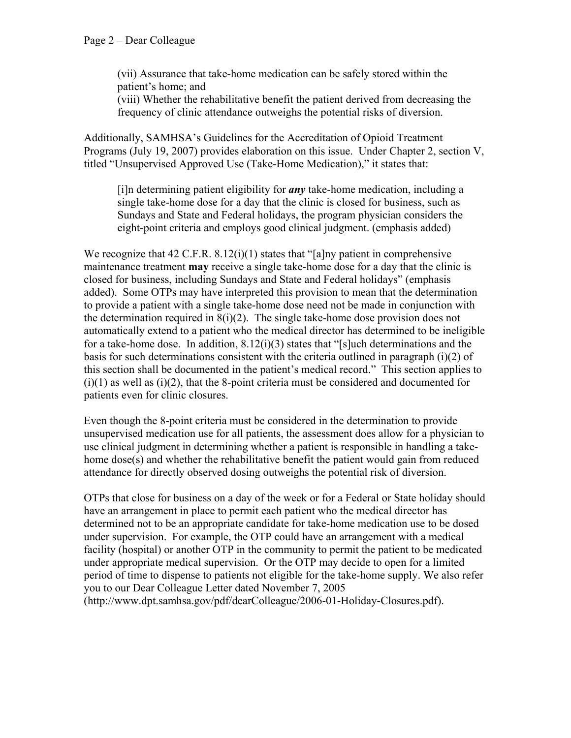(vii) Assurance that take-home medication can be safely stored within the patient's home; and

(viii) Whether the rehabilitative benefit the patient derived from decreasing the frequency of clinic attendance outweighs the potential risks of diversion.

Additionally, SAMHSA's Guidelines for the Accreditation of Opioid Treatment Programs (July 19, 2007) provides elaboration on this issue. Under Chapter 2, section V, titled "Unsupervised Approved Use (Take-Home Medication)," it states that:

[i]n determining patient eligibility for *any* take-home medication, including a single take-home dose for a day that the clinic is closed for business, such as Sundays and State and Federal holidays, the program physician considers the eight-point criteria and employs good clinical judgment. (emphasis added)

We recognize that  $42 \text{ C.F.R. } 8.12(i)(1)$  states that "[a]ny patient in comprehensive maintenance treatment **may** receive a single take-home dose for a day that the clinic is closed for business, including Sundays and State and Federal holidays" (emphasis added). Some OTPs may have interpreted this provision to mean that the determination to provide a patient with a single take-home dose need not be made in conjunction with the determination required in  $8(i)(2)$ . The single take-home dose provision does not automatically extend to a patient who the medical director has determined to be ineligible for a take-home dose. In addition,  $8.12(i)(3)$  states that "[s]uch determinations and the basis for such determinations consistent with the criteria outlined in paragraph  $(i)(2)$  of this section shall be documented in the patient's medical record." This section applies to  $(i)(1)$  as well as  $(i)(2)$ , that the 8-point criteria must be considered and documented for patients even for clinic closures.

Even though the 8-point criteria must be considered in the determination to provide unsupervised medication use for all patients, the assessment does allow for a physician to use clinical judgment in determining whether a patient is responsible in handling a takehome dose(s) and whether the rehabilitative benefit the patient would gain from reduced attendance for directly observed dosing outweighs the potential risk of diversion.

OTPs that close for business on a day of the week or for a Federal or State holiday should have an arrangement in place to permit each patient who the medical director has determined not to be an appropriate candidate for take-home medication use to be dosed under supervision. For example, the OTP could have an arrangement with a medical facility (hospital) or another OTP in the community to permit the patient to be medicated under appropriate medical supervision. Or the OTP may decide to open for a limited period of time to dispense to patients not eligible for the take-home supply. We also refer you to our Dear Colleague Letter dated November 7, 2005 (<http://www.dpt.samhsa.gov/pdf/dearColleague/2006-01-Holiday-Closures.pdf>).